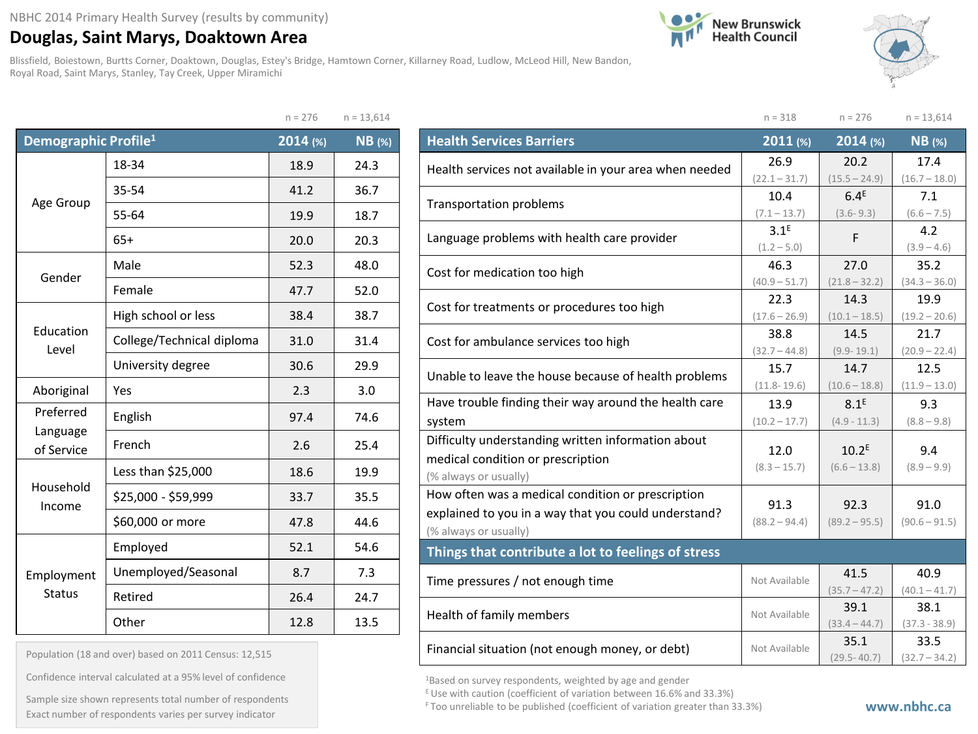## **Douglas, Saint Marys, Doaktown Area**

Blissfield, Boiestown, Burtts Corner, Doaktown, Douglas, Estey's Bridge, Hamtown Corner, Killarney Road, Ludlow, McLeod Hill, New Bandon, Royal Road, Saint Marys, Stanley, Tay Creek, Upper Miramichi

 $n = 276$   $n = 12,614$ 





|                        |                                  | $H = 270$ | $11 - 13,014$ |  |  |  |  |
|------------------------|----------------------------------|-----------|---------------|--|--|--|--|
|                        | Demographic Profile <sup>1</sup> |           |               |  |  |  |  |
|                        | 18-34                            | 18.9      | 24.3          |  |  |  |  |
|                        | 35-54                            | 41.2      | 36.7          |  |  |  |  |
| Age Group              | 55-64                            | 19.9      | 18.7          |  |  |  |  |
|                        | $65+$                            | 20.0      | 20.3          |  |  |  |  |
| Gender                 | Male                             | 52.3      | 48.0          |  |  |  |  |
|                        | Female                           | 47.7      | 52.0          |  |  |  |  |
|                        | High school or less              | 38.4      | 38.7          |  |  |  |  |
| Education<br>Level     | College/Technical diploma        | 31.0      | 31.4          |  |  |  |  |
|                        | University degree                | 30.6      | 29.9          |  |  |  |  |
| Aboriginal             | Yes                              | 2.3       | 3.0           |  |  |  |  |
| Preferred              | English                          | 97.4      | 74.6          |  |  |  |  |
| Language<br>of Service | French                           | 2.6       | 25.4          |  |  |  |  |
|                        | Less than \$25,000               | 18.6      | 19.9          |  |  |  |  |
| Household<br>Income    | \$25,000 - \$59,999              | 33.7      | 35.5          |  |  |  |  |
|                        | \$60,000 or more                 | 47.8      | 44.6          |  |  |  |  |
|                        | Employed                         | 52.1      | 54.6          |  |  |  |  |
| Employment             | Unemployed/Seasonal              | 8.7       | 7.3           |  |  |  |  |
| <b>Status</b>          | Retired                          | 26.4      | 24.7          |  |  |  |  |
|                        | Other                            | 12.8      | 13.5          |  |  |  |  |

|  |  | Population (18 and over) based on 2011 Census: 12,515 |
|--|--|-------------------------------------------------------|
|--|--|-------------------------------------------------------|

Confidence interval calculated at a 95% level of confidence

F Too unreliable to be published (coefficient of variation greater than 33.3%) Exact number of respondents varies per survey indicator **www.nbhc.ca**Sample size shown represents total number of respondents

|                                                        | $n = 318$        | $n = 276$         | $n = 13,614$    |  |  |
|--------------------------------------------------------|------------------|-------------------|-----------------|--|--|
| <b>Health Services Barriers</b>                        | $2011$ (%)       | $2014$ (%)        | <b>NB</b> (%)   |  |  |
| Health services not available in your area when needed | 26.9             | 20.2              | 17.4            |  |  |
|                                                        | $(22.1 - 31.7)$  | $(15.5 - 24.9)$   | $(16.7 - 18.0)$ |  |  |
| <b>Transportation problems</b>                         | 10.4             | 6.4 <sup>E</sup>  | 7.1             |  |  |
|                                                        | $(7.1 - 13.7)$   | $(3.6 - 9.3)$     | $(6.6 - 7.5)$   |  |  |
| Language problems with health care provider            | 3.1 <sup>E</sup> | F                 | 4.2             |  |  |
|                                                        | $(1.2 - 5.0)$    |                   | $(3.9 - 4.6)$   |  |  |
| Cost for medication too high                           | 46.3             | 27.0              | 35.2            |  |  |
|                                                        | $(40.9 - 51.7)$  | $(21.8 - 32.2)$   | $(34.3 - 36.0)$ |  |  |
| Cost for treatments or procedures too high             | 22.3             | 14.3              | 19.9            |  |  |
|                                                        | $(17.6 - 26.9)$  | $(10.1 - 18.5)$   | $(19.2 - 20.6)$ |  |  |
| Cost for ambulance services too high                   | 38.8             | 14.5              | 21.7            |  |  |
|                                                        | $(32.7 - 44.8)$  | $(9.9 - 19.1)$    | $(20.9 - 22.4)$ |  |  |
| Unable to leave the house because of health problems   | 15.7             | 14.7              | 12.5            |  |  |
|                                                        | $(11.8 - 19.6)$  | $(10.6 - 18.8)$   | $(11.9 - 13.0)$ |  |  |
| Have trouble finding their way around the health care  | 13.9             | 8.1 <sup>E</sup>  | 9.3             |  |  |
| system                                                 | $(10.2 - 17.7)$  | $(4.9 - 11.3)$    | $(8.8 - 9.8)$   |  |  |
| Difficulty understanding written information about     |                  |                   |                 |  |  |
| medical condition or prescription                      | 12.0             | 10.2 <sup>E</sup> | 9.4             |  |  |
| (% always or usually)                                  | $(8.3 - 15.7)$   | $(6.6 - 13.8)$    | $(8.9 - 9.9)$   |  |  |
| How often was a medical condition or prescription      |                  |                   |                 |  |  |
| explained to you in a way that you could understand?   | 91.3             | 92.3              | 91.0            |  |  |
| (% always or usually)                                  | $(88.2 - 94.4)$  | $(89.2 - 95.5)$   | $(90.6 - 91.5)$ |  |  |
| Things that contribute a lot to feelings of stress     |                  |                   |                 |  |  |
|                                                        |                  |                   |                 |  |  |
| Time pressures / not enough time                       | Not Available    | 41.5              | 40.9            |  |  |
|                                                        |                  | $(35.7 - 47.2)$   | $(40.1 - 41.7)$ |  |  |
| Health of family members                               | Not Available    | 39.1              | 38.1            |  |  |
|                                                        |                  | $(33.4 - 44.7)$   | $(37.3 - 38.9)$ |  |  |
| Financial situation (not enough money, or debt)        | Not Available    | 35.1              | 33.5            |  |  |
|                                                        |                  | $(29.5 - 40.7)$   | $(32.7 - 34.2)$ |  |  |

1Based on survey respondents, weighted by age and gender

E Use with caution (coefficient of variation between 16.6% and 33.3%)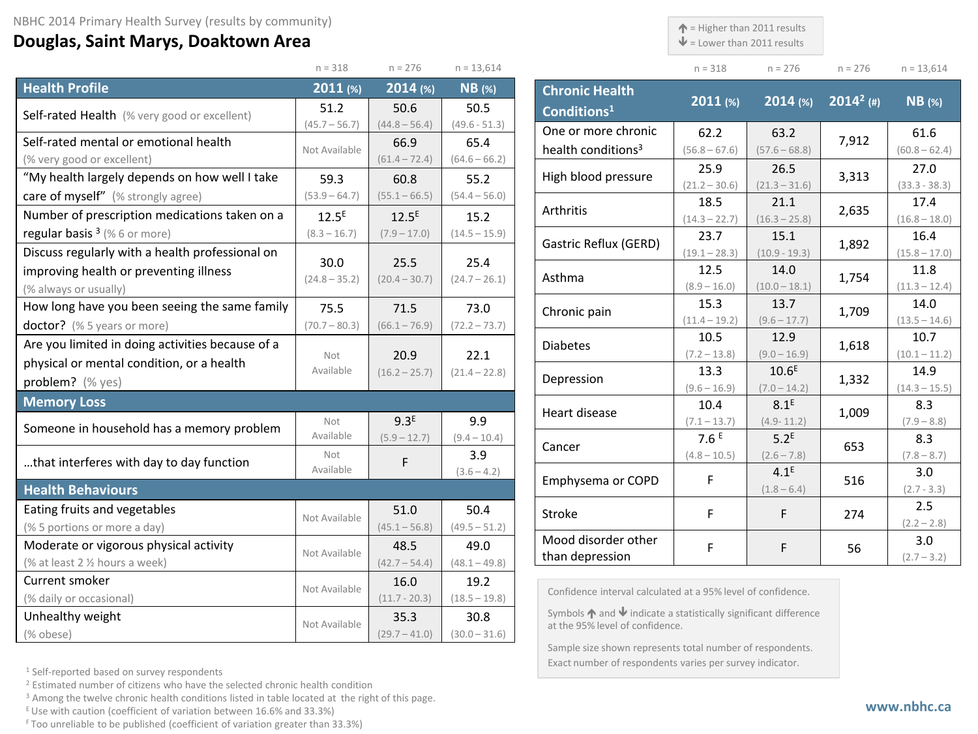## **Douglas, Saint Marys, Doaktown Area**

 $\triangle$  = Higher than 2011 results

 $\blacklozenge$  = Lower than 2011 results

Exact number of respondents varies per survey indicator.

| $n = 276$ | $n = 13,614$ |
|-----------|--------------|

|                                                  | $n = 318$       | $n = 276$        | $n = 13,614$    |                                                                                                                                                                                                                                                                                                                                                                                                                                                                                 | $n = 318$              | $n = 276$               | $n = 276$    | $n = 13,614$            |
|--------------------------------------------------|-----------------|------------------|-----------------|---------------------------------------------------------------------------------------------------------------------------------------------------------------------------------------------------------------------------------------------------------------------------------------------------------------------------------------------------------------------------------------------------------------------------------------------------------------------------------|------------------------|-------------------------|--------------|-------------------------|
| <b>Health Profile</b>                            | 2011(%)         | $2014$ (%)       | $NB$ (%)        | <b>Chronic Health</b>                                                                                                                                                                                                                                                                                                                                                                                                                                                           |                        |                         |              |                         |
| Self-rated Health (% very good or excellent)     | 51.2            | 50.6             | 50.5            | Conditions <sup>1</sup>                                                                                                                                                                                                                                                                                                                                                                                                                                                         | 2011(%)                | $2014$ (%)              | $2014^2$ (#) | $NB$ (%)                |
|                                                  | $(45.7 - 56.7)$ | $(44.8 - 56.4)$  | $(49.6 - 51.3)$ | One or more chronic                                                                                                                                                                                                                                                                                                                                                                                                                                                             | 62.2                   | 63.2                    |              | 61.6                    |
| Self-rated mental or emotional health            | Not Available   | 66.9             | 65.4            | health conditions <sup>3</sup>                                                                                                                                                                                                                                                                                                                                                                                                                                                  | $(56.8 - 67.6)$        | $(57.6 - 68.8)$         | 7,912        | $(60.8 - 62.4)$         |
| (% very good or excellent)                       |                 | $(61.4 - 72.4)$  | $(64.6 - 66.2)$ |                                                                                                                                                                                                                                                                                                                                                                                                                                                                                 | 25.9                   | 26.5                    |              | 27.0                    |
| "My health largely depends on how well I take    | 59.3            | 60.8             | 55.2            |                                                                                                                                                                                                                                                                                                                                                                                                                                                                                 | $(21.2 - 30.6)$        | $(21.3 - 31.6)$         | 3,313        | $(33.3 - 38.3)$         |
| care of myself" (% strongly agree)               | $(53.9 - 64.7)$ | $(55.1 - 66.5)$  | $(54.4 - 56.0)$ |                                                                                                                                                                                                                                                                                                                                                                                                                                                                                 | 18.5                   | 21.1                    | 2,635        | 17.4                    |
| Number of prescription medications taken on a    | $12.5^E$        | $12.5^E$         | 15.2            |                                                                                                                                                                                                                                                                                                                                                                                                                                                                                 | $(14.3 - 22.7)$        | $(16.3 - 25.8)$         |              | $(16.8 - 18.0)$         |
| regular basis $3$ (% 6 or more)                  | $(8.3 - 16.7)$  | $(7.9 - 17.0)$   | $(14.5 - 15.9)$ |                                                                                                                                                                                                                                                                                                                                                                                                                                                                                 | 23.7                   | 15.1                    | 1,892        | 16.4                    |
| Discuss regularly with a health professional on  | 30.0            | 25.5             | 25.4            |                                                                                                                                                                                                                                                                                                                                                                                                                                                                                 | $(19.1 - 28.3)$        | $(10.9 - 19.3)$         |              | $(15.8 - 17.0)$         |
| improving health or preventing illness           | $(24.8 - 35.2)$ | $(20.4 - 30.7)$  | $(24.7 - 26.1)$ | High blood pressure<br>Arthritis<br>Gastric Reflux (GERD)<br>Asthma<br>Chronic pain<br><b>Diabetes</b><br>Depression<br>Heart disease<br>Cancer<br>Emphysema or COPD<br>Stroke<br>Mood disorder other<br>than depression<br>Confidence interval calculated at a 95% level of confidence.<br>Symbols $\uparrow$ and $\downarrow$ indicate a statistically significant difference<br>at the 95% level of confidence.<br>Sample size shown represents total number of respondents. | 12.5                   | 14.0                    | 1,754        | 11.8                    |
| (% always or usually)                            |                 |                  |                 |                                                                                                                                                                                                                                                                                                                                                                                                                                                                                 | $(8.9 - 16.0)$<br>15.3 | $(10.0 - 18.1)$<br>13.7 |              | $(11.3 - 12.4)$<br>14.0 |
| How long have you been seeing the same family    | 75.5            | 71.5             | 73.0            |                                                                                                                                                                                                                                                                                                                                                                                                                                                                                 | $(11.4 - 19.2)$        | $(9.6 - 17.7)$          | 1,709        | $(13.5 - 14.6)$         |
| doctor? (% 5 years or more)                      | $(70.7 - 80.3)$ | $(66.1 - 76.9)$  | $(72.2 - 73.7)$ |                                                                                                                                                                                                                                                                                                                                                                                                                                                                                 | 10.5                   | 12.9                    |              | 10.7                    |
| Are you limited in doing activities because of a | Not             | 20.9             | 22.1            |                                                                                                                                                                                                                                                                                                                                                                                                                                                                                 | $(7.2 - 13.8)$         | $(9.0 - 16.9)$          | 1,618        | $(10.1 - 11.2)$         |
| physical or mental condition, or a health        | Available       | $(16.2 - 25.7)$  | $(21.4 - 22.8)$ |                                                                                                                                                                                                                                                                                                                                                                                                                                                                                 | 13.3                   | 10.6 <sup>E</sup>       |              | 14.9                    |
| problem? (% yes)                                 |                 |                  |                 |                                                                                                                                                                                                                                                                                                                                                                                                                                                                                 | $(9.6 - 16.9)$         | $(7.0 - 14.2)$          | 1,332        | $(14.3 - 15.5)$         |
| <b>Memory Loss</b>                               |                 |                  |                 |                                                                                                                                                                                                                                                                                                                                                                                                                                                                                 |                        | $8.1^E$                 | 1,009        | 8.3                     |
| Someone in household has a memory problem        | Not             | 9.3 <sup>E</sup> | 9.9             |                                                                                                                                                                                                                                                                                                                                                                                                                                                                                 | $(7.1 - 13.7)$         | $(4.9 - 11.2)$          |              | $(7.9 - 8.8)$           |
|                                                  | Available       | $(5.9 - 12.7)$   | $(9.4 - 10.4)$  |                                                                                                                                                                                                                                                                                                                                                                                                                                                                                 | 7.6E                   | $5.2^E$                 | 653          | 8.3                     |
| that interferes with day to day function         | Not             | F                | 3.9             |                                                                                                                                                                                                                                                                                                                                                                                                                                                                                 | $(4.8 - 10.5)$         | $(2.6 - 7.8)$           |              | $(7.8 - 8.7)$           |
|                                                  | Available       |                  | $(3.6 - 4.2)$   |                                                                                                                                                                                                                                                                                                                                                                                                                                                                                 | F                      | 4.1 <sup>E</sup>        | 516          | 3.0                     |
| <b>Health Behaviours</b>                         |                 |                  |                 |                                                                                                                                                                                                                                                                                                                                                                                                                                                                                 |                        | $(1.8 - 6.4)$           |              | $(2.7 - 3.3)$           |
| Eating fruits and vegetables                     | Not Available   | 51.0             | 50.4            |                                                                                                                                                                                                                                                                                                                                                                                                                                                                                 | F                      | F                       | 274          | 2.5<br>$(2.2 - 2.8)$    |
| (% 5 portions or more a day)                     |                 | $(45.1 - 56.8)$  | $(49.5 - 51.2)$ |                                                                                                                                                                                                                                                                                                                                                                                                                                                                                 |                        |                         |              | 3.0                     |
| Moderate or vigorous physical activity           | Not Available   | 48.5             | 49.0            |                                                                                                                                                                                                                                                                                                                                                                                                                                                                                 | F                      | F                       | 56           | $(2.7 - 3.2)$           |
| (% at least 2 % hours a week)                    |                 | $(42.7 - 54.4)$  | $(48.1 - 49.8)$ |                                                                                                                                                                                                                                                                                                                                                                                                                                                                                 |                        |                         |              |                         |
| Current smoker                                   | Not Available   | 16.0             | 19.2            |                                                                                                                                                                                                                                                                                                                                                                                                                                                                                 |                        |                         |              |                         |
| (% daily or occasional)                          |                 | $(11.7 - 20.3)$  | $(18.5 - 19.8)$ |                                                                                                                                                                                                                                                                                                                                                                                                                                                                                 |                        |                         |              |                         |
| Unhealthy weight                                 | Not Available   | 35.3             | 30.8            |                                                                                                                                                                                                                                                                                                                                                                                                                                                                                 |                        |                         |              |                         |
| (% obese)                                        |                 | $(29.7 - 41.0)$  | $(30.0 - 31.6)$ |                                                                                                                                                                                                                                                                                                                                                                                                                                                                                 |                        |                         |              |                         |

<sup>1</sup> Self-reported based on survey respondents

<sup>2</sup> Estimated number of citizens who have the selected chronic health condition

<sup>3</sup> Among the twelve chronic health conditions listed in table located at the right of this page.

 $E$  Use with caution (coefficient of variation between 16.6% and 33.3%)

F Too unreliable to be published (coefficient of variation greater than 33.3%)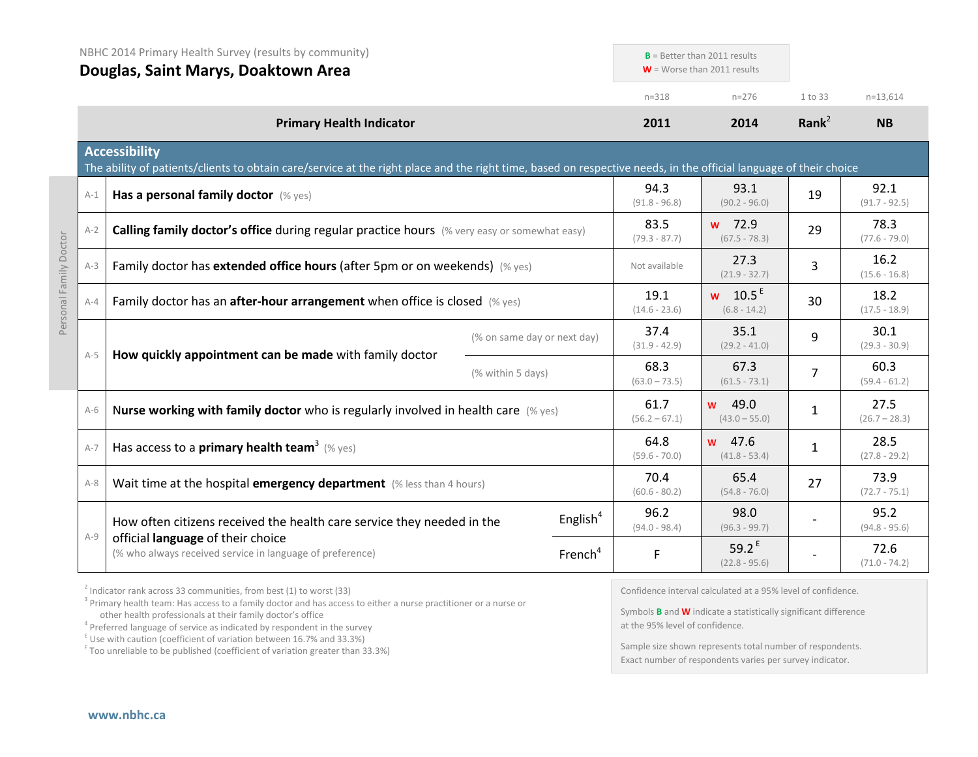|                        |       | NBHC 2014 Primary Health Survey (results by community)<br>Douglas, Saint Marys, Doaktown Area                                                                                             |                             | $B =$ Better than 2011 results<br>$W =$ Worse than 2011 results |                                        |                         |                         |
|------------------------|-------|-------------------------------------------------------------------------------------------------------------------------------------------------------------------------------------------|-----------------------------|-----------------------------------------------------------------|----------------------------------------|-------------------------|-------------------------|
|                        |       |                                                                                                                                                                                           |                             | $n = 318$                                                       | $n = 276$                              | 1 to 33                 | $n=13,614$              |
|                        |       | <b>Primary Health Indicator</b>                                                                                                                                                           |                             | 2011                                                            | 2014                                   | Rank <sup>2</sup>       | <b>NB</b>               |
|                        |       | <b>Accessibility</b><br>The ability of patients/clients to obtain care/service at the right place and the right time, based on respective needs, in the official language of their choice |                             |                                                                 |                                        |                         |                         |
|                        | $A-1$ | Has a personal family doctor (% yes)                                                                                                                                                      |                             | 94.3<br>$(91.8 - 96.8)$                                         | 93.1<br>$(90.2 - 96.0)$                | 19                      | 92.1<br>$(91.7 - 92.5)$ |
|                        | $A-2$ | Calling family doctor's office during regular practice hours (% very easy or somewhat easy)                                                                                               |                             | 83.5<br>$(79.3 - 87.7)$                                         | w 72.9<br>$(67.5 - 78.3)$              | 29                      | 78.3<br>$(77.6 - 79.0)$ |
| Personal Family Doctor | $A-3$ | Family doctor has extended office hours (after 5pm or on weekends) (% yes)                                                                                                                |                             | Not available                                                   | 27.3<br>$(21.9 - 32.7)$                | 3                       | 16.2<br>$(15.6 - 16.8)$ |
|                        | $A-4$ | Family doctor has an after-hour arrangement when office is closed (% yes)                                                                                                                 |                             | 19.1<br>$(14.6 - 23.6)$                                         | $10.5^E$<br><b>W</b><br>$(6.8 - 14.2)$ | 30                      | 18.2<br>$(17.5 - 18.9)$ |
|                        |       |                                                                                                                                                                                           | (% on same day or next day) | 37.4<br>$(31.9 - 42.9)$                                         | 35.1<br>$(29.2 - 41.0)$                | 9                       | 30.1<br>$(29.3 - 30.9)$ |
|                        | $A-5$ | How quickly appointment can be made with family doctor<br>(% within 5 days)                                                                                                               | 68.3<br>$(63.0 - 73.5)$     | 67.3<br>$(61.5 - 73.1)$                                         | 7                                      | 60.3<br>$(59.4 - 61.2)$ |                         |
|                        | $A-6$ | Nurse working with family doctor who is regularly involved in health care $(\%$ yes)                                                                                                      |                             | 61.7<br>$(56.2 - 67.1)$                                         | 49.0<br>W<br>$(43.0 - 55.0)$           | $\mathbf{1}$            | 27.5<br>$(26.7 - 28.3)$ |
|                        | $A-7$ | Has access to a <b>primary health team</b> <sup>3</sup> (% yes)                                                                                                                           |                             | 64.8<br>$(59.6 - 70.0)$                                         | w 47.6<br>$(41.8 - 53.4)$              | 1                       | 28.5<br>$(27.8 - 29.2)$ |
|                        | $A-8$ | Wait time at the hospital emergency department (% less than 4 hours)                                                                                                                      |                             | 70.4<br>$(60.6 - 80.2)$                                         | 65.4<br>$(54.8 - 76.0)$                | 27                      | 73.9<br>$(72.7 - 75.1)$ |
|                        | $A-9$ | How often citizens received the health care service they needed in the                                                                                                                    | English <sup>4</sup>        | 96.2<br>$(94.0 - 98.4)$                                         | 98.0<br>$(96.3 - 99.7)$                |                         | 95.2<br>$(94.8 - 95.6)$ |
|                        |       | official language of their choice<br>(% who always received service in language of preference)<br>French <sup>4</sup>                                                                     |                             | F                                                               | 59.2 $E$<br>$(22.8 - 95.6)$            |                         | 72.6<br>$(71.0 - 74.2)$ |

 $2$  Indicator rank across 33 communities, from best (1) to worst (33)

<sup>3</sup> Primary health team: Has access to a family doctor and has access to either a nurse practitioner or a nurse or other health professionals at their family doctor's office

<sup>4</sup> Preferred language of service as indicated by respondent in the survey

 $E$  Use with caution (coefficient of variation between 16.7% and 33.3%)

<sup>F</sup> Too unreliable to be published (coefficient of variation greater than 33.3%)

Confidence interval calculated at a 95% level of confidence.

Symbols **B** and **W** indicate a statistically significant difference at the 95% level of confidence.

Sample size shown represents total number of respondents. Exact number of respondents varies per survey indicator.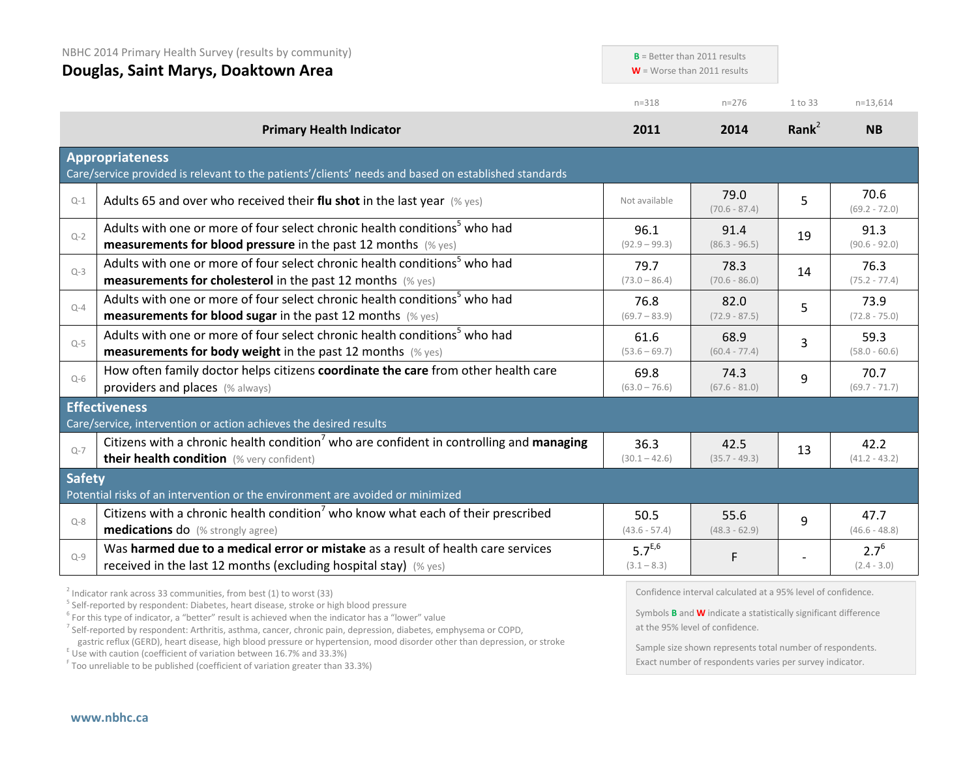| NBHC 2014 Primary Health Survey (results by community)<br>Douglas, Saint Marys, Doaktown Area                                                                                                 |                                                                                                                                                                  |                         | $B =$ Better than 2011 results<br>$W =$ Worse than 2011 results |                            |                         |  |  |
|-----------------------------------------------------------------------------------------------------------------------------------------------------------------------------------------------|------------------------------------------------------------------------------------------------------------------------------------------------------------------|-------------------------|-----------------------------------------------------------------|----------------------------|-------------------------|--|--|
|                                                                                                                                                                                               |                                                                                                                                                                  | $n = 318$               | $n = 276$                                                       | 1 to 33                    | $n=13,614$              |  |  |
|                                                                                                                                                                                               | <b>Primary Health Indicator</b>                                                                                                                                  | 2011                    | 2014                                                            | Rank <sup>2</sup>          | <b>NB</b>               |  |  |
|                                                                                                                                                                                               | <b>Appropriateness</b><br>Care/service provided is relevant to the patients'/clients' needs and based on established standards                                   |                         |                                                                 |                            |                         |  |  |
| $Q-1$                                                                                                                                                                                         | Adults 65 and over who received their flu shot in the last year $(\%$ yes)                                                                                       | Not available           | 79.0<br>$(70.6 - 87.4)$                                         | 5                          | 70.6<br>$(69.2 - 72.0)$ |  |  |
| $Q-2$                                                                                                                                                                                         | Adults with one or more of four select chronic health conditions <sup>5</sup> who had<br><b>measurements for blood pressure</b> in the past 12 months $(\%$ yes) | 96.1<br>$(92.9 - 99.3)$ | 91.4<br>$(86.3 - 96.5)$                                         | 19                         | 91.3<br>$(90.6 - 92.0)$ |  |  |
| $Q-3$                                                                                                                                                                                         | Adults with one or more of four select chronic health conditions <sup>5</sup> who had<br><b>measurements for cholesterol</b> in the past 12 months (% yes)       | 79.7<br>$(73.0 - 86.4)$ | 78.3<br>$(70.6 - 86.0)$                                         | 14                         | 76.3<br>$(75.2 - 77.4)$ |  |  |
| $Q - 4$                                                                                                                                                                                       | Adults with one or more of four select chronic health conditions <sup>5</sup> who had<br>measurements for blood sugar in the past 12 months (% yes)              | 76.8<br>$(69.7 - 83.9)$ | 82.0<br>$(72.9 - 87.5)$                                         | 5                          | 73.9<br>$(72.8 - 75.0)$ |  |  |
| $Q-5$                                                                                                                                                                                         | Adults with one or more of four select chronic health conditions <sup>5</sup> who had<br><b>measurements for body weight</b> in the past 12 months (% yes)       | 61.6<br>$(53.6 - 69.7)$ | 68.9<br>$(60.4 - 77.4)$                                         | $\overline{3}$             | 59.3<br>$(58.0 - 60.6)$ |  |  |
| $Q-6$                                                                                                                                                                                         | How often family doctor helps citizens coordinate the care from other health care<br>providers and places (% always)                                             | 69.8<br>$(63.0 - 76.6)$ | 74.3<br>$(67.6 - 81.0)$                                         | 9                          | 70.7<br>$(69.7 - 71.7)$ |  |  |
|                                                                                                                                                                                               | <b>Effectiveness</b><br>Care/service, intervention or action achieves the desired results                                                                        |                         |                                                                 |                            |                         |  |  |
| $Q-7$                                                                                                                                                                                         | Citizens with a chronic health condition <sup>7</sup> who are confident in controlling and managing<br>their health condition (% very confident)                 | 36.3<br>$(30.1 - 42.6)$ | 42.5<br>$(35.7 - 49.3)$                                         | 13                         | 42.2<br>$(41.2 - 43.2)$ |  |  |
| <b>Safety</b>                                                                                                                                                                                 | Potential risks of an intervention or the environment are avoided or minimized                                                                                   |                         |                                                                 |                            |                         |  |  |
| $Q - 8$                                                                                                                                                                                       | Citizens with a chronic health condition <sup>7</sup> who know what each of their prescribed<br><b>medications do</b> (% strongly agree)                         | 50.5<br>$(43.6 - 57.4)$ | 55.6<br>$(48.3 - 62.9)$                                         | 9                          | 47.7<br>$(46.6 - 48.8)$ |  |  |
| Was harmed due to a medical error or mistake as a result of health care services<br>$5.7^{E,6}$<br>$Q-9$<br>received in the last 12 months (excluding hospital stay) (% yes)<br>$(3.1 - 8.3)$ |                                                                                                                                                                  | F                       |                                                                 | $2.7^{6}$<br>$(2.4 - 3.0)$ |                         |  |  |
|                                                                                                                                                                                               | Confidence interval calculated at a 95% level of confidence.<br>$\frac{2}{3}$ Indicator rank across 33 communities from hest (1) to worst (33)                   |                         |                                                                 |                            |                         |  |  |

 $\degree$  Indicator rank across 33 communities, from best (1) to worst (33)<br> $\degree$  Self-reported by respondent: Diabetes, heart disease, stroke or high blood pressure

 $\frac{1}{2}$  September of indicator, a "better" result is achieved when the indicator has a "lower" value

<sup>7</sup> Self-reported by respondent: Arthritis, asthma, cancer, chronic pain, depression, diabetes, emphysema or COPD,

gastric reflux (GERD), heart disease, high blood pressure or hypertension, mood disorder other than depression, or stroke E Use with caution (coefficient of variation between 16.7% and 33.3%)

<sup>F</sup> Too unreliable to be published (coefficient of variation greater than 33.3%)

Confidence interval calculated at a 95% level of confidence.

Symbols **B** and **W** indicate a statistically significant difference at the 95% level of confidence.

Sample size shown represents total number of respondents. Exact number of respondents varies per survey indicator.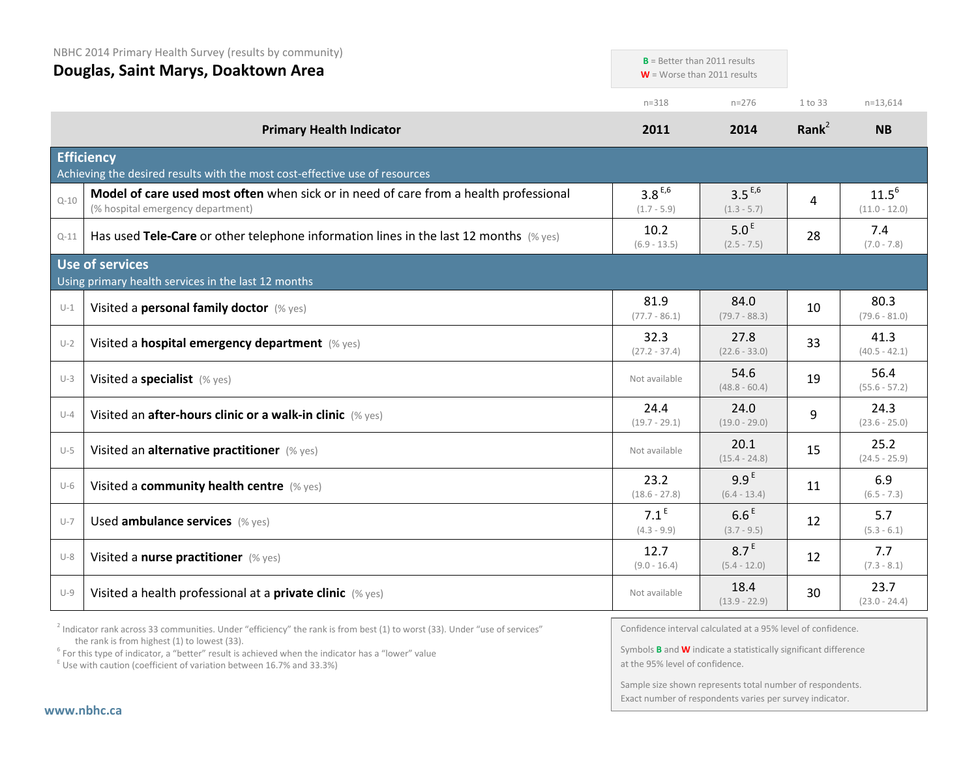| Douglas, Saint Marys, Doaktown Area |                                                                                                                            | $B =$ Better than 2011 results<br>$W =$ Worse than 2011 results |                                    |                   |                               |
|-------------------------------------|----------------------------------------------------------------------------------------------------------------------------|-----------------------------------------------------------------|------------------------------------|-------------------|-------------------------------|
|                                     |                                                                                                                            | $n = 318$                                                       | $n = 276$                          | 1 to 33           | $n=13,614$                    |
|                                     | <b>Primary Health Indicator</b>                                                                                            | 2011                                                            | 2014                               | Rank <sup>2</sup> | <b>NB</b>                     |
|                                     | <b>Efficiency</b><br>Achieving the desired results with the most cost-effective use of resources                           |                                                                 |                                    |                   |                               |
| $Q - 10$                            | Model of care used most often when sick or in need of care from a health professional<br>(% hospital emergency department) | $3.8^{E,6}$<br>$(1.7 - 5.9)$                                    | $3.5^{E,6}$<br>$(1.3 - 5.7)$       | 4                 | $11.5^{6}$<br>$(11.0 - 12.0)$ |
| $Q-11$                              | Has used Tele-Care or other telephone information lines in the last 12 months $(\%$ yes)                                   | 10.2<br>$(6.9 - 13.5)$                                          | 5.0 <sup>E</sup><br>$(2.5 - 7.5)$  | 28                | 7.4<br>$(7.0 - 7.8)$          |
|                                     | <b>Use of services</b><br>Using primary health services in the last 12 months                                              |                                                                 |                                    |                   |                               |
| $U-1$                               | Visited a personal family doctor (% yes)                                                                                   | 81.9<br>$(77.7 - 86.1)$                                         | 84.0<br>$(79.7 - 88.3)$            | 10                | 80.3<br>$(79.6 - 81.0)$       |
| $U-2$                               | Visited a hospital emergency department (% yes)                                                                            | 32.3<br>$(27.2 - 37.4)$                                         | 27.8<br>$(22.6 - 33.0)$            | 33                | 41.3<br>$(40.5 - 42.1)$       |
| $U-3$                               | Visited a specialist (% yes)                                                                                               | Not available                                                   | 54.6<br>$(48.8 - 60.4)$            | 19                | 56.4<br>$(55.6 - 57.2)$       |
| $U-4$                               | Visited an after-hours clinic or a walk-in clinic (% yes)                                                                  | 24.4<br>$(19.7 - 29.1)$                                         | 24.0<br>$(19.0 - 29.0)$            | 9                 | 24.3<br>$(23.6 - 25.0)$       |
| $U-5$                               | Visited an alternative practitioner (% yes)                                                                                | Not available                                                   | 20.1<br>$(15.4 - 24.8)$            | 15                | 25.2<br>$(24.5 - 25.9)$       |
| $U-6$                               | Visited a community health centre (% yes)                                                                                  | 23.2<br>$(18.6 - 27.8)$                                         | 9.9 <sup>E</sup><br>$(6.4 - 13.4)$ | 11                | 6.9<br>$(6.5 - 7.3)$          |
| $U-7$                               | Used ambulance services (% yes)                                                                                            | 7.1 <sup>E</sup><br>$(4.3 - 9.9)$                               | 6.6 <sup>E</sup><br>$(3.7 - 9.5)$  | 12                | 5.7<br>$(5.3 - 6.1)$          |
| $U-8$                               | Visited a nurse practitioner (% yes)                                                                                       | 12.7<br>$(9.0 - 16.4)$                                          | 8.7 <sup>E</sup><br>$(5.4 - 12.0)$ | 12                | 7.7<br>$(7.3 - 8.1)$          |
|                                     | $U-9$ Visited a health professional at a <b>private clinic</b> (% yes)                                                     | Not available                                                   | 18.4                               | 30                | 23.7                          |

<sup>2</sup> Indicator rank across 33 communities. Under "efficiency" the rank is from best (1) to worst (33). Under "use of services" the rank is from highest (1) to lowest (33).

<sup>6</sup> For this type of indicator, a "better" result is achieved when the indicator has a "lower" value  $E$ <sup>E</sup> Use with caution (coefficient of variation between 16.7% and 33.3%)

NBHC 2014 Primary Health Survey (results by community)

Confidence interval calculated at a 95% level of confidence.

 $(13.9 - 22.9)$ 

 $(23.0 - 24.4)$ 

Symbols **B** and **W** indicate a statistically significant difference at the 95% level of confidence.

Sample size shown represents total number of respondents. Exact number of respondents varies per survey indicator.